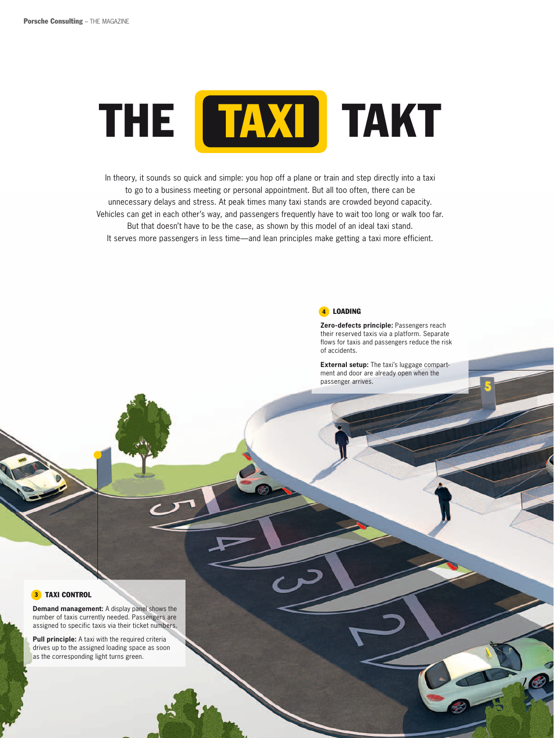

In theory, it sounds so quick and simple: you hop off a plane or train and step directly into a taxi to go to a business meeting or personal appointment. But all too often, there can be unnecessary delays and stress. At peak times many taxi stands are crowded beyond capacity. Vehicles can get in each other's way, and passengers frequently have to wait too long or walk too far. But that doesn't have to be the case, as shown by this model of an ideal taxi stand. It serves more passengers in less time—and lean principles make getting a taxi more efficient.



Zero-defects principle: Passengers reach their reserved taxis via a platform. Separate flows for taxis and passengers reduce the risk of accidents.

External setup: The taxi's luggage compartment and door are already open when the passenger arrives.

#### **3** TAXI CONTROL

Demand management: A display panel shows the number of taxis currently needed. Passengers are assigned to specific taxis via their ticket numbers.

Pull principle: A taxi with the required criteria drives up to the assigned loading space as soon as the corresponding light turns green.